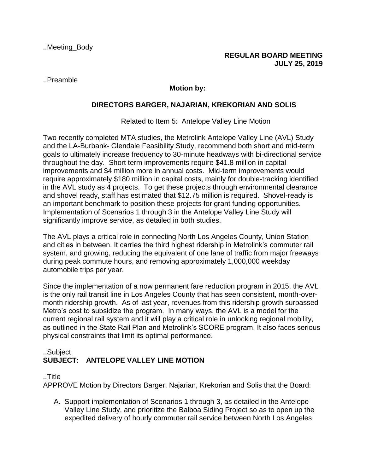..Preamble

## **Motion by:**

## **DIRECTORS BARGER, NAJARIAN, KREKORIAN AND SOLIS**

Related to Item 5: Antelope Valley Line Motion

Two recently completed MTA studies, the Metrolink Antelope Valley Line (AVL) Study and the LA-Burbank- Glendale Feasibility Study, recommend both short and mid-term goals to ultimately increase frequency to 30-minute headways with bi-directional service throughout the day. Short term improvements require \$41.8 million in capital improvements and \$4 million more in annual costs. Mid-term improvements would require approximately \$180 million in capital costs, mainly for double-tracking identified in the AVL study as 4 projects. To get these projects through environmental clearance and shovel ready, staff has estimated that \$12.75 million is required. Shovel-ready is an important benchmark to position these projects for grant funding opportunities. Implementation of Scenarios 1 through 3 in the Antelope Valley Line Study will significantly improve service, as detailed in both studies.

The AVL plays a critical role in connecting North Los Angeles County, Union Station and cities in between. It carries the third highest ridership in Metrolink's commuter rail system, and growing, reducing the equivalent of one lane of traffic from major freeways during peak commute hours, and removing approximately 1,000,000 weekday automobile trips per year.

Since the implementation of a now permanent fare reduction program in 2015, the AVL is the only rail transit line in Los Angeles County that has seen consistent, month-overmonth ridership growth. As of last year, revenues from this ridership growth surpassed Metro's cost to subsidize the program. In many ways, the AVL is a model for the current regional rail system and it will play a critical role in unlocking regional mobility, as outlined in the State Rail Plan and Metrolink's SCORE program. It also faces serious physical constraints that limit its optimal performance.

## ..Subject **SUBJECT: ANTELOPE VALLEY LINE MOTION**

..Title

APPROVE Motion by Directors Barger, Najarian, Krekorian and Solis that the Board:

A. Support implementation of Scenarios 1 through 3, as detailed in the Antelope Valley Line Study, and prioritize the Balboa Siding Project so as to open up the expedited delivery of hourly commuter rail service between North Los Angeles